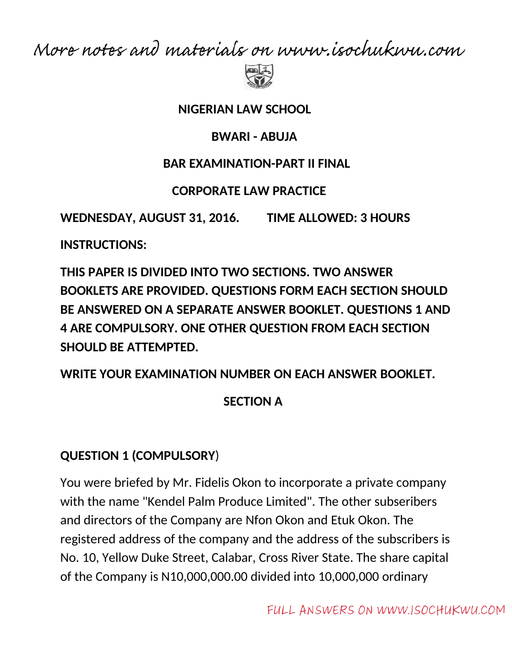More notes and materials on www.isochukwu.com



#### **NIGERIAN LAW SCHOOL**

#### **BWARI - ABUJA**

#### **BAR EXAMINATION-PART II FINAL**

### **CORPORATE LAW PRACTICE**

**WEDNESDAY, AUGUST 31, 2016. TIME ALLOWED: 3 HOURS**

**INSTRUCTIONS:**

**THIS PAPER IS DIVIDED INTO TWO SECTIONS. TWO ANSWER BOOKLETS ARE PROVIDED. QUESTIONS FORM EACH SECTION SHOULD BE ANSWERED ON A SEPARATE ANSWER BOOKLET. QUESTIONS 1 AND 4 ARE COMPULSORY. ONE OTHER QUESTION FROM EACH SECTION SHOULD BE ATTEMPTED.**

### **WRITE YOUR EXAMINATION NUMBER ON EACH ANSWER BOOKLET.**

## **SECTION A**

## **QUESTION 1 (COMPULSORY**)

You were briefed by Mr. Fidelis Okon to incorporate a private company with the name "Kendel Palm Produce Limited". The other subseribers and directors of the Company are Nfon Okon and Etuk Okon. The registered address of the company and the address of the subscribers is No. 10, Yellow Duke Street, Calabar, Cross River State. The share capital of the Company is N10,000,000.00 divided into 10,000,000 ordinary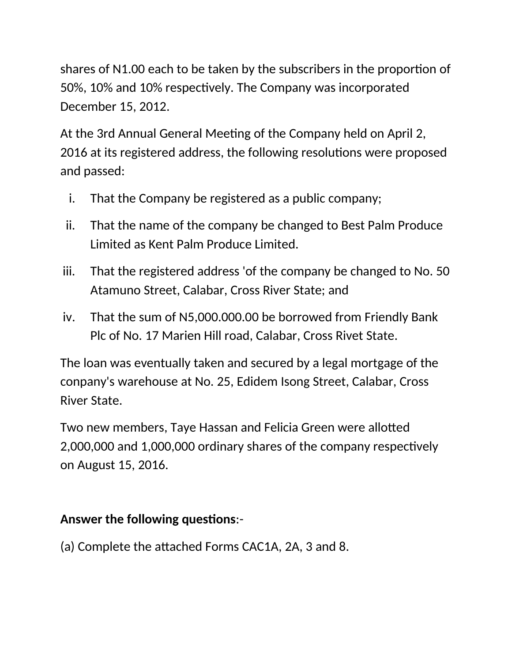shares of N1.00 each to be taken by the subscribers in the proportion of 50%, 10% and 10% respectively. The Company was incorporated December 15, 2012.

At the 3rd Annual General Meeting of the Company held on April 2, 2016 at its registered address, the following resolutions were proposed and passed:

- i. That the Company be registered as a public company;
- ii. That the name of the company be changed to Best Palm Produce Limited as Kent Palm Produce Limited.
- iii. That the registered address 'of the company be changed to No. 50 Atamuno Street, Calabar, Cross River State; and
- iv. That the sum of N5,000.000.00 be borrowed from Friendly Bank Plc of No. 17 Marien Hill road, Calabar, Cross Rivet State.

The loan was eventually taken and secured by a legal mortgage of the conpany's warehouse at No. 25, Edidem Isong Street, Calabar, Cross River State.

Two new members, Taye Hassan and Felicia Green were allotted 2,000,000 and 1,000,000 ordinary shares of the company respectively on August 15, 2016.

## **Answer the following questions:-**

(a) Complete the attached Forms CAC1A, 2A, 3 and 8.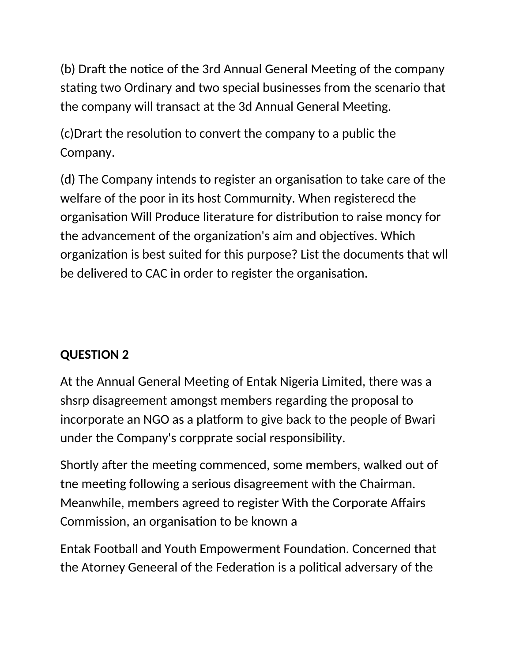(b) Draft the notice of the 3rd Annual General Meeting of the company stating two Ordinary and two special businesses from the scenario that the company will transact at the 3d Annual General Meeting.

(c)Drart the resoluton to convert the company to a public the Company.

(d) The Company intends to register an organisaton to take care of the welfare of the poor in its host Commurnity. When registerecd the organisation Will Produce literature for distribution to raise moncy for the advancement of the organization's aim and objectives. Which organization is best suited for this purpose? List the documents that wll be delivered to CAC in order to register the organisation.

## **QUESTION 2**

At the Annual General Meeting of Entak Nigeria Limited, there was a shsrp disagreement amongst members regarding the proposal to incorporate an NGO as a platform to give back to the people of Bwari under the Company's corpprate social responsibility.

Shortly after the meeting commenced, some members, walked out of the meeting following a serious disagreement with the Chairman. Meanwhile, members agreed to register With the Corporate Afairs Commission, an organisation to be known a

Entak Football and Youth Empowerment Foundation. Concerned that the Atorney Geneeral of the Federation is a political adversary of the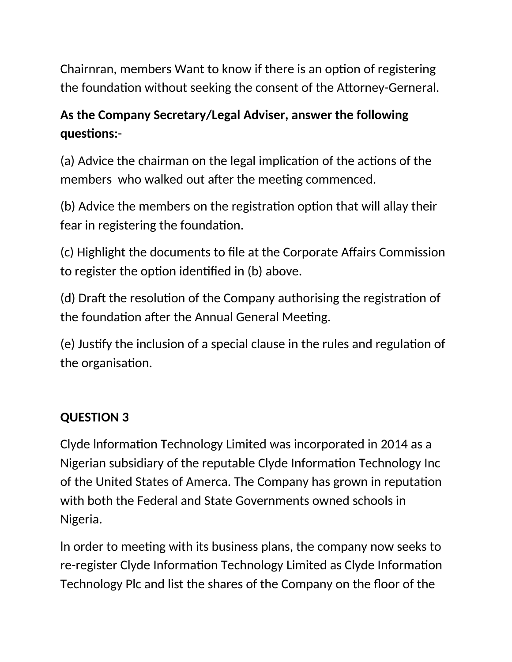Chairnran, members Want to know if there is an option of registering the foundation without seeking the consent of the Attorney-Gerneral.

# **As the Company Secretary/Legal Adviser, answer the following questons:**-

(a) Advice the chairman on the legal implication of the actions of the members who walked out after the meeting commenced.

(b) Advice the members on the registration option that will allay their fear in registering the foundation.

(c) Highlight the documents to fle at the Corporate Afairs Commission to register the option identified in (b) above.

(d) Draft the resolution of the Company authorising the registration of the foundation after the Annual General Meeting.

(e) Justfy the inclusion of a special clause in the rules and regulaton of the organisation.

## **QUESTION 3**

Clyde Information Technology Limited was incorporated in 2014 as a Nigerian subsidiary of the reputable Clyde Information Technology Inc of the United States of Amerca. The Company has grown in reputation with both the Federal and State Governments owned schools in Nigeria.

In order to meeting with its business plans, the company now seeks to re-register Clyde Informaton Technology Limited as Clyde Informaton Technology Plc and list the shares of the Company on the floor of the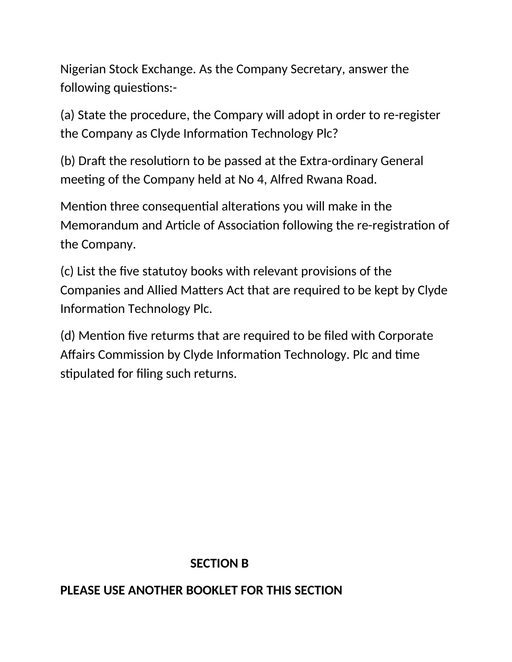Nigerian Stock Exchange. As the Company Secretary, answer the following quiestions:-

(a) State the procedure, the Compary will adopt in order to re-register the Company as Clyde Information Technology Plc?

(b) Draft the resolutiorn to be passed at the Extra-ordinary General meeting of the Company held at No 4, Alfred Rwana Road.

Mention three consequential alterations you will make in the Memorandum and Article of Association following the re-registration of the Company.

(c) List the fve statutoy books with relevant provisions of the Companies and Allied Matters Act that are required to be kept by Clyde Information Technology Plc.

(d) Mention five returms that are required to be filed with Corporate Affairs Commission by Clyde Information Technology. Plc and time stipulated for filing such returns.

#### **SECTION B**

### **PLEASE USE ANOTHER BOOKLET FOR THIS SECTION**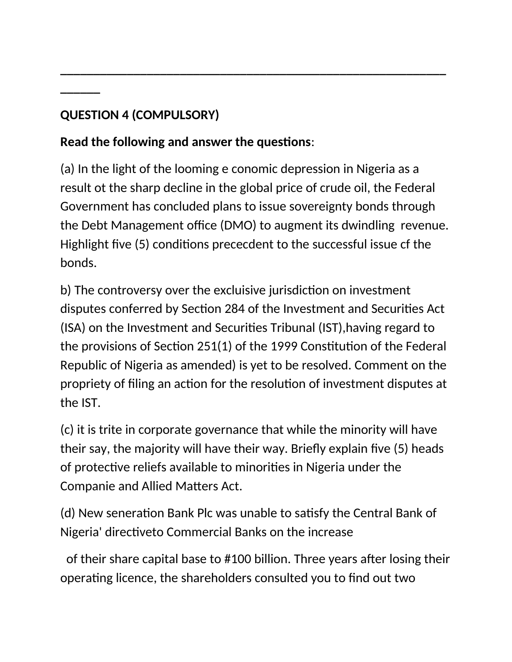# **QUESTION 4 (COMPULSORY)**

**\_\_\_\_\_\_**

# **Read the following and answer the questions:**

(a) In the light of the looming e conomic depression in Nigeria as a result ot the sharp decline in the global price of crude oil, the Federal Government has concluded plans to issue sovereignty bonds through the Debt Management office (DMO) to augment its dwindling revenue. Highlight five (5) conditions prececdent to the successful issue cf the bonds.

**\_\_\_\_\_\_\_\_\_\_\_\_\_\_\_\_\_\_\_\_\_\_\_\_\_\_\_\_\_\_\_\_\_\_\_\_\_\_\_\_\_\_\_\_\_\_\_\_\_\_\_\_\_\_\_\_\_\_**

b) The controversy over the excluisive jurisdiction on investment disputes conferred by Section 284 of the Investment and Securities Act (ISA) on the Investment and Securites Tribunal (IST),having regard to the provisions of Section 251(1) of the 1999 Constitution of the Federal Republic of Nigeria as amended) is yet to be resolved. Comment on the propriety of filing an action for the resolution of investment disputes at the IST.

(c) it is trite in corporate governance that while the minority will have their say, the majority will have their way. Briefly explain five (5) heads of protective reliefs available to minorities in Nigeria under the Companie and Allied Maters Act.

(d) New seneration Bank Plc was unable to satisfy the Central Bank of Nigeria' directiveto Commercial Banks on the increase

of their share capital base to #100 billion. Three years after losing their operating licence, the shareholders consulted you to find out two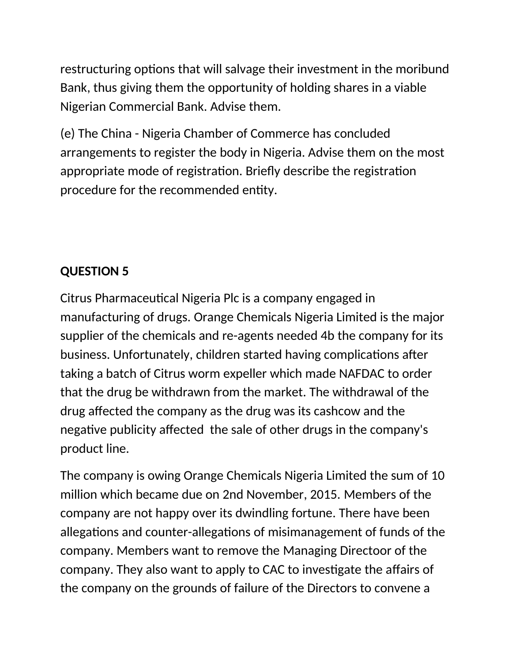restructuring options that will salvage their investment in the moribund Bank, thus giving them the opportunity of holding shares in a viable Nigerian Commercial Bank. Advise them.

(e) The China - Nigeria Chamber of Commerce has concluded arrangements to register the body in Nigeria. Advise them on the most appropriate mode of registration. Briefly describe the registration procedure for the recommended entity.

## **QUESTION 5**

Citrus Pharmaceutical Nigeria Plc is a company engaged in manufacturing of drugs. Orange Chemicals Nigeria Limited is the major supplier of the chemicals and re-agents needed 4b the company for its business. Unfortunately, children started having complications after taking a batch of Citrus worm expeller which made NAFDAC to order that the drug be withdrawn from the market. The withdrawal of the drug afected the company as the drug was its cashcow and the negative publicity affected the sale of other drugs in the company's product line.

The company is owing Orange Chemicals Nigeria Limited the sum of 10 million which became due on 2nd November, 2015. Members of the company are not happy over its dwindling fortune. There have been allegations and counter-allegations of misimanagement of funds of the company. Members want to remove the Managing Directoor of the company. They also want to apply to CAC to investgate the afairs of the company on the grounds of failure of the Directors to convene a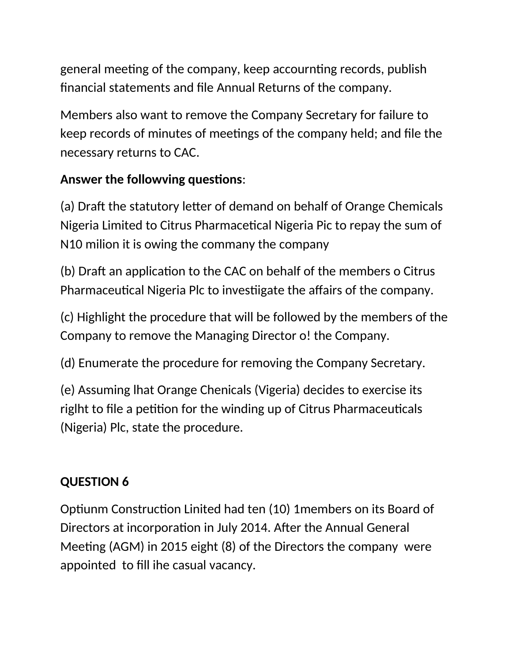general meeting of the company, keep accournting records, publish fnancial statements and fle Annual Returns of the company.

Members also want to remove the Company Secretary for failure to keep records of minutes of meetngs of the company held; and fle the necessary returns to CAC.

## Answer the followving questions:

(a) Draft the statutory letter of demand on behalf of Orange Chemicals Nigeria Limited to Citrus Pharmacetical Nigeria Pic to repay the sum of N10 milion it is owing the commany the company

(b) Draft an application to the CAC on behalf of the members o Citrus Pharmaceutical Nigeria Plc to investiigate the affairs of the company.

(c) Highlight the procedure that will be followed by the members of the Company to remove the Managing Director o! the Company.

(d) Enumerate the procedure for removing the Company Secretary.

(e) Assuming lhat Orange Chenicals (Vigeria) decides to exercise its right to file a petition for the winding up of Citrus Pharmaceuticals (Nigeria) Plc, state the procedure.

## **QUESTION 6**

Optiunm Construction Linited had ten (10) 1 members on its Board of Directors at incorporation in July 2014. After the Annual General Meeting (AGM) in 2015 eight (8) of the Directors the company were appointed to fll ihe casual vacancy.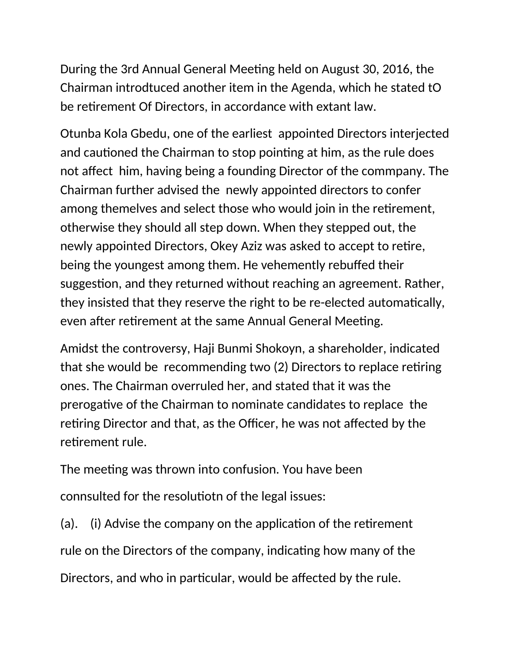During the 3rd Annual General Meeting held on August 30, 2016, the Chairman introdtuced another item in the Agenda, which he stated tO be retrement Of Directors, in accordance with extant law.

Otunba Kola Gbedu, one of the earliest appointed Directors interjected and cautioned the Chairman to stop pointing at him, as the rule does not affect him, having being a founding Director of the commpany. The Chairman further advised the newly appointed directors to confer among themelves and select those who would join in the retrement, otherwise they should all step down. When they stepped out, the newly appointed Directors, Okey Aziz was asked to accept to retre, being the youngest among them. He vehemently rebuffed their suggestion, and they returned without reaching an agreement. Rather, they insisted that they reserve the right to be re-elected automatically, even after retirement at the same Annual General Meeting.

Amidst the controversy, Haji Bunmi Shokoyn, a shareholder, indicated that she would be recommending two (2) Directors to replace retring ones. The Chairman overruled her, and stated that it was the prerogative of the Chairman to nominate candidates to replace the retiring Director and that, as the Officer, he was not affected by the retrement rule.

The meeting was thrown into confusion. You have been connsulted for the resolutiotn of the legal issues:

(a). (i) Advise the company on the application of the retirement rule on the Directors of the company, indicating how many of the Directors, and who in particular, would be affected by the rule.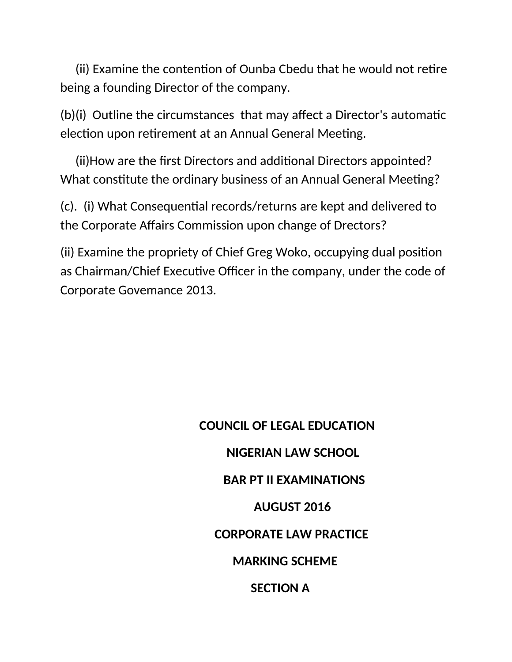(ii) Examine the contention of Ounba Cbedu that he would not retire being a founding Director of the company.

 $(b)(i)$  Outline the circumstances that may affect a Director's automatic election upon retirement at an Annual General Meeting.

(ii) How are the first Directors and additional Directors appointed? What constitute the ordinary business of an Annual General Meeting?

(c). (i) What Consequental records/returns are kept and delivered to the Corporate Afairs Commission upon change of Drectors?

(ii) Examine the propriety of Chief Greg Woko, occupying dual positon as Chairman/Chief Executive Officer in the company, under the code of Corporate Govemance 2013.

> **COUNCIL OF LEGAL EDUCATION NIGERIAN LAW SCHOOL BAR PT II EXAMINATIONS AUGUST 2016 CORPORATE LAW PRACTICE MARKING SCHEME SECTION A**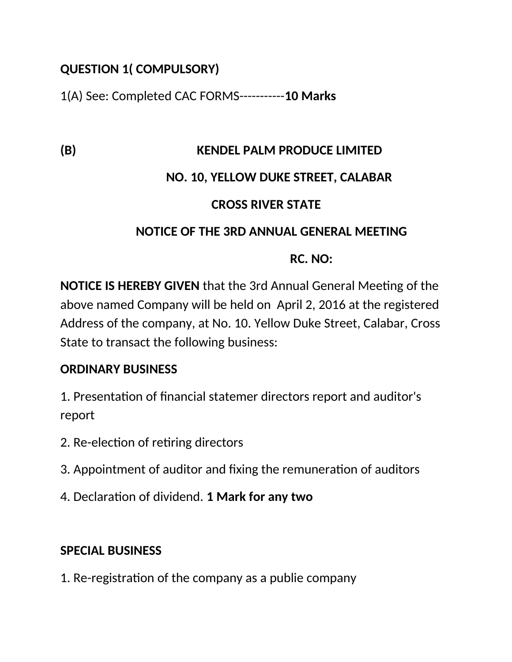### **QUESTION 1( COMPULSORY)**

1(A) See: Completed CAC FORMS-----------**10 Marks**

### **(B) KENDEL PALM PRODUCE LIMITED**

## **NO. 10, YELLOW DUKE STREET, CALABAR**

### **CROSS RIVER STATE**

### **NOTICE OF THE 3RD ANNUAL GENERAL MEETING**

### **RC. NO:**

**NOTICE IS HEREBY GIVEN** that the 3rd Annual General Meeting of the above named Company will be held on April 2, 2016 at the registered Address of the company, at No. 10. Yellow Duke Street, Calabar, Cross State to transact the following business:

## **ORDINARY BUSINESS**

1. Presentation of financial statemer directors report and auditor's report

- 2. Re-election of retiring directors
- 3. Appointment of auditor and fixing the remuneration of auditors
- 4. Declaraton of dividend. **1 Mark for any two**

## **SPECIAL BUSINESS**

1. Re-registration of the company as a publie company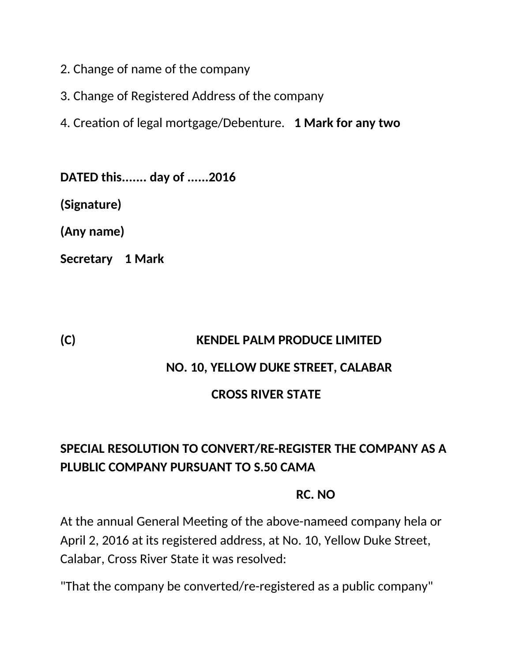- 2. Change of name of the company
- 3. Change of Registered Address of the company

4. Creaton of legal mortgage/Debenture. **1 Mark for any two**

**DATED this....... day of ......2016**

**(Signature)**

**(Any name)**

**Secretary 1 Mark**

#### **(C) KENDEL PALM PRODUCE LIMITED**

#### **NO. 10, YELLOW DUKE STREET, CALABAR**

#### **CROSS RIVER STATE**

# **SPECIAL RESOLUTION TO CONVERT/RE-REGISTER THE COMPANY AS A PLUBLIC COMPANY PURSUANT TO S.50 CAMA**

#### **RC. NO**

At the annual General Meeting of the above-nameed company hela or April 2, 2016 at its registered address, at No. 10, Yellow Duke Street, Calabar, Cross River State it was resolved:

"That the company be converted/re-registered as a public company"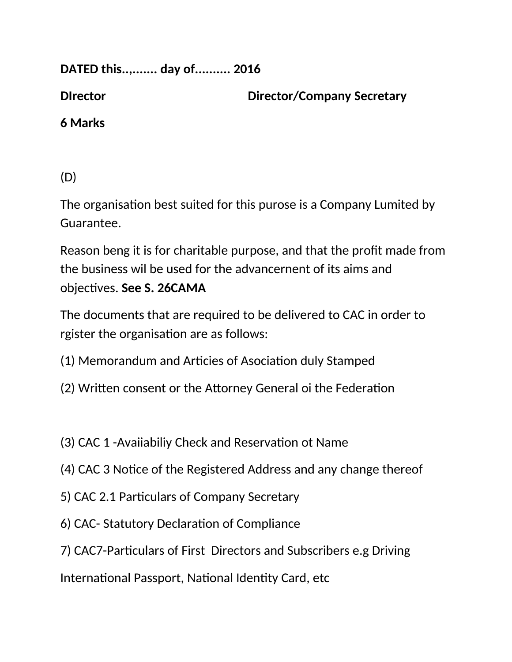DATED this.......... day of.......... 2016

**Director** 

**Director/Company Secretary** 

6 Marks

 $(D)$ 

The organisation best suited for this purose is a Company Lumited by Guarantee.

Reason beng it is for charitable purpose, and that the profit made from the business wil be used for the advancernent of its aims and objectives. See S. 26CAMA

The documents that are required to be delivered to CAC in order to rgister the organisation are as follows:

- (1) Memorandum and Articies of Asociation duly Stamped
- (2) Written consent or the Attorney General oi the Federation
- (3) CAC 1 Avaiiabiliy Check and Reservation ot Name
- (4) CAC 3 Notice of the Registered Address and any change thereof
- 5) CAC 2.1 Particulars of Company Secretary
- 6) CAC-Statutory Declaration of Compliance
- 7) CAC7-Particulars of First Directors and Subscribers e.g Driving

International Passport, National Identity Card, etc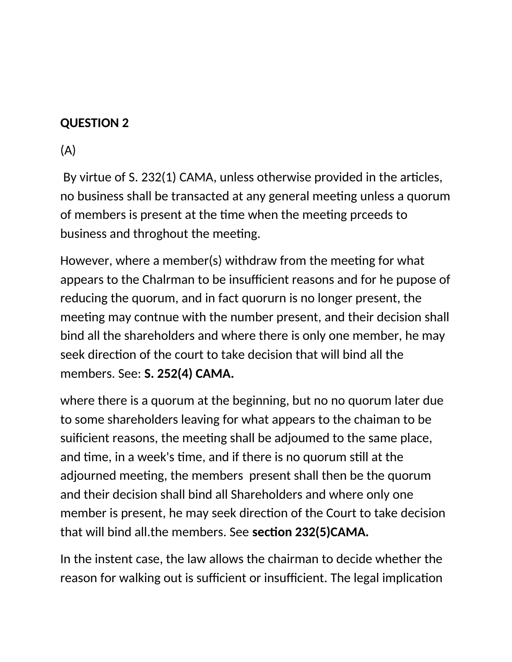### **QUESTION 2**

(A)

By virtue of S. 232(1) CAMA, unless otherwise provided in the articles, no business shall be transacted at any general meeting unless a quorum of members is present at the time when the meeting prceeds to business and throghout the meeting.

However, where a member(s) withdraw from the meeting for what appears to the Chalrman to be insufficient reasons and for he pupose of reducing the quorum, and in fact quorurn is no longer present, the meeting may contnue with the number present, and their decision shall bind all the shareholders and where there is only one member, he may seek direction of the court to take decision that will bind all the members. See: **S. 252(4) CAMA.**

where there is a quorum at the beginning, but no no quorum later due to some shareholders leaving for what appears to the chaiman to be suificient reasons, the meeting shall be adjoumed to the same place, and time, in a week's time, and if there is no quorum still at the adjourned meeting, the members present shall then be the quorum and their decision shall bind all Shareholders and where only one member is present, he may seek direction of the Court to take decision that will bind all.the members. See **secton 232(5)CAMA.**

In the instent case, the law allows the chairman to decide whether the reason for walking out is sufficient or insufficient. The legal implication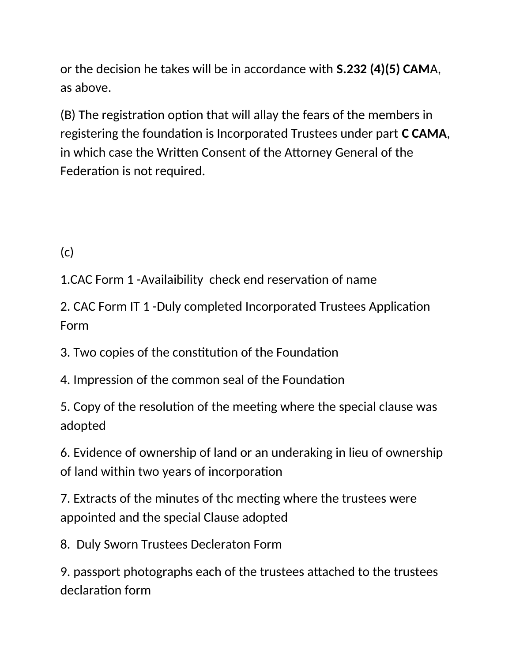or the decision he takes will be in accordance with **S.232 (4)(5) CAM**A, as above.

(B) The registration option that will allay the fears of the members in registering the foundation is Incorporated Trustees under part **C CAMA**, in which case the Written Consent of the Attorney General of the Federation is not required.

 $(c)$ 

1.CAC Form 1 -Availaibility check end reservation of name

2. CAC Form IT 1 -Duly completed Incorporated Trustees Applicaton Form

3. Two copies of the constitution of the Foundation

4. Impression of the common seal of the Foundation

5. Copy of the resolution of the meeting where the special clause was adopted

6. Evidence of ownership of land or an underaking in lieu of ownership of land within two years of incorporation

7. Extracts of the minutes of the mecting where the trustees were appointed and the special Clause adopted

8. Duly Sworn Trustees Decleraton Form

9. passport photographs each of the trustees atached to the trustees declaration form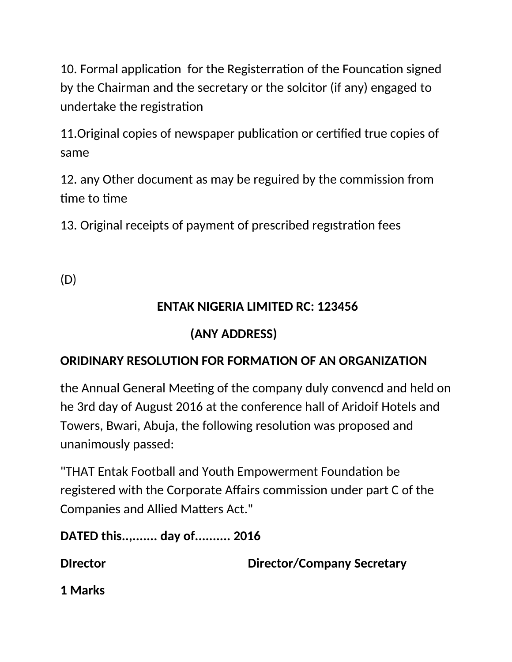10. Formal application for the Registerration of the Founcation signed by the Chairman and the secretary or the solcitor (if any) engaged to undertake the registraton

11. Original copies of newspaper publication or certified true copies of same

12. any Other document as may be reguired by the commission from time to time

13. Original receipts of payment of prescribed registration fees

(D)

## **ENTAK NIGERIA LIMITED RC: 123456**

# **(ANY ADDRESS)**

## **ORIDINARY RESOLUTION FOR FORMATION OF AN ORGANIZATION**

the Annual General Meeting of the company duly convencd and held on he 3rd day of August 2016 at the conference hall of Aridoif Hotels and Towers, Bwari, Abuja, the following resolution was proposed and unanimously passed:

"THAT Entak Football and Youth Empowerment Foundation be registered with the Corporate Afairs commission under part C of the Companies and Allied Matters Act."

**DATED this..,....... day of.......... 2016**

**Director Director/Company Secretary** 

**1 Marks**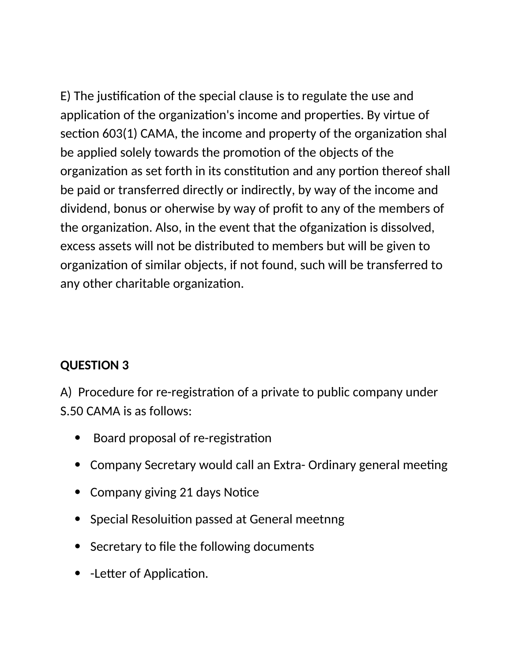E) The justification of the special clause is to regulate the use and application of the organization's income and properties. By virtue of section 603(1) CAMA, the income and property of the organization shal be applied solely towards the promotion of the objects of the organization as set forth in its constitution and any portion thereof shall be paid or transferred directly or indirectly, by way of the income and dividend, bonus or oherwise by way of proft to any of the members of the organization. Also, in the event that the ofganization is dissolved, excess assets will not be distributed to members but will be given to organization of similar objects, if not found, such will be transferred to any other charitable organization.

## **QUESTION 3**

A) Procedure for re-registration of a private to public company under S.50 CAMA is as follows:

- Board proposal of re-registration
- Company Secretary would call an Extra- Ordinary general meeting
- Company giving 21 days Notice
- Special Resoluition passed at General meetnng
- Secretary to file the following documents
- - Letter of Application.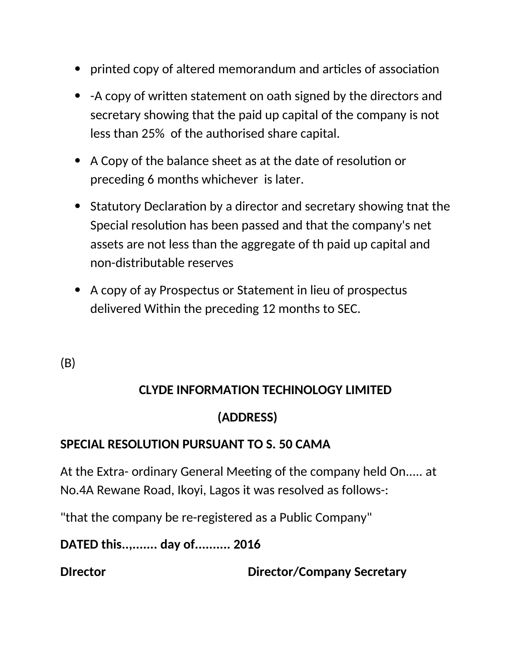- printed copy of altered memorandum and articles of association
- - A copy of written statement on oath signed by the directors and secretary showing that the paid up capital of the company is not less than 25% of the authorised share capital.
- A Copy of the balance sheet as at the date of resolution or preceding 6 months whichever is later.
- Statutory Declaration by a director and secretary showing tnat the Special resoluton has been passed and that the company's net assets are not less than the aggregate of th paid up capital and non-distributable reserves
- A copy of ay Prospectus or Statement in lieu of prospectus delivered Within the preceding 12 months to SEC.

(B)

## **CLYDE INFORMATION TECHINOLOGY LIMITED**

# **(ADDRESS)**

## **SPECIAL RESOLUTION PURSUANT TO S. 50 CAMA**

At the Extra- ordinary General Meeting of the company held On..... at No.4A Rewane Road, Ikoyi, Lagos it was resolved as follows-:

"that the company be re-registered as a Public Company"

**DATED this..,....... day of.......... 2016**

**DIrector Director/Company Secretary**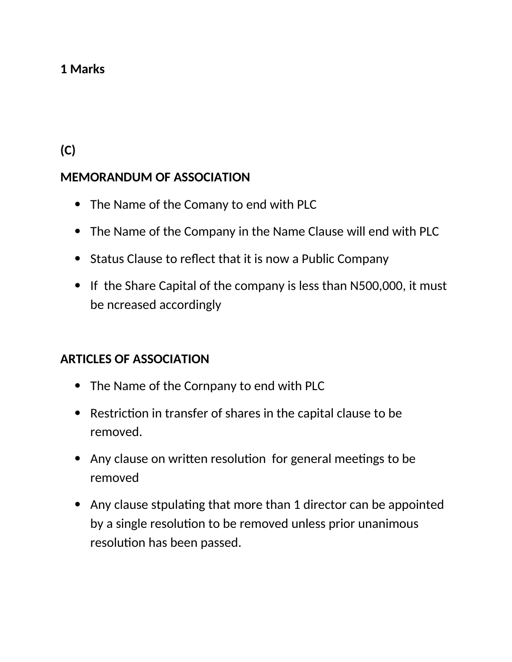### **1 Marks**

**(C)**

### **MEMORANDUM OF ASSOCIATION**

- The Name of the Comany to end with PLC
- The Name of the Company in the Name Clause will end with PLC
- Status Clause to reflect that it is now a Public Company
- If the Share Capital of the company is less than N500,000, it must be ncreased accordingly

#### **ARTICLES OF ASSOCIATION**

- The Name of the Cornpany to end with PLC
- Restriction in transfer of shares in the capital clause to be removed.
- Any clause on written resolution for general meetings to be removed
- Any clause stpulating that more than 1 director can be appointed by a single resolution to be removed unless prior unanimous resolution has been passed.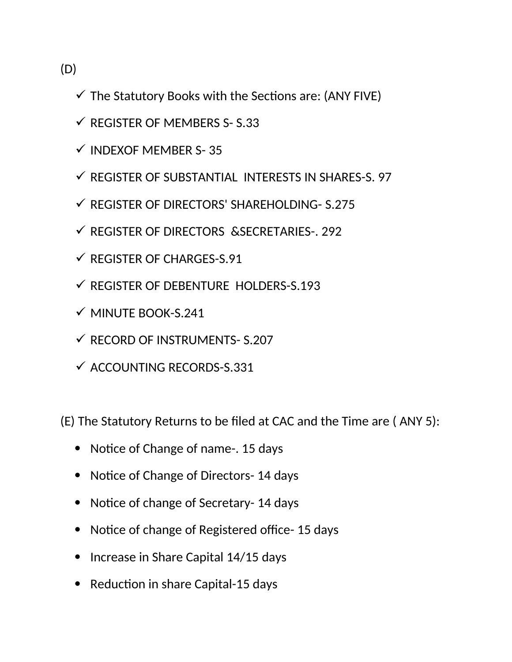(D)

- $\checkmark$  The Statutory Books with the Sections are: (ANY FIVE)
- $\checkmark$  REGISTER OF MEMBERS S- S.33
- $\checkmark$  INDEXOF MEMBER S-35
- $\checkmark$  REGISTER OF SUBSTANTIAL INTERESTS IN SHARES-S. 97
- $\checkmark$  REGISTER OF DIRECTORS' SHAREHOLDING- S.275
- $\checkmark$  REGISTER OF DIRECTORS & SECRETARIES-. 292
- $\checkmark$  REGISTER OF CHARGES-S.91
- $\checkmark$  REGISTER OF DEBENTURE HOLDERS-S.193
- $\checkmark$  MINUTE BOOK-S.241
- $\checkmark$  RECORD OF INSTRUMENTS- S.207
- $\checkmark$  ACCOUNTING RECORDS-S.331

(E) The Statutory Returns to be fled at CAC and the Time are ( ANY 5):

- Notice of Change of name-. 15 days
- Notice of Change of Directors- 14 days
- Notice of change of Secretary- 14 days
- Notice of change of Registered office- 15 days
- Increase in Share Capital 14/15 days
- Reduction in share Capital-15 days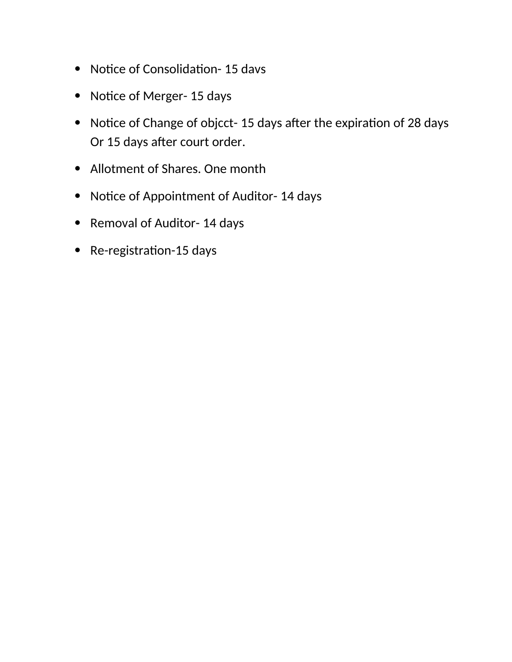- Notice of Consolidation- 15 davs
- Notice of Merger- 15 days
- Notice of Change of objcct- 15 days after the expiration of 28 days Or 15 days after court order.
- Allotment of Shares. One month
- Notice of Appointment of Auditor- 14 days
- Removal of Auditor- 14 days
- Re-registration-15 days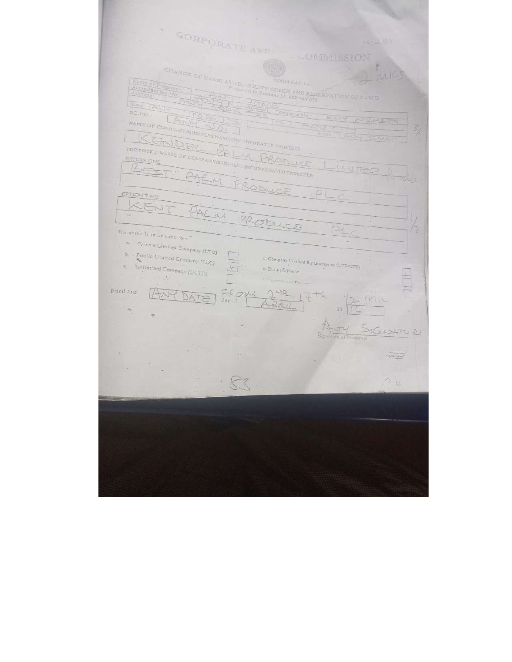| GORPORATE AFF                                           | 2101                                                           |
|---------------------------------------------------------|----------------------------------------------------------------|
|                                                         | <b>COMMISSION</b>                                              |
|                                                         |                                                                |
|                                                         | ma K                                                           |
| Name of Pressing<br>Accreditation No.                   |                                                                |
| Address                                                 |                                                                |
| State TANGE                                             |                                                                |
| RC.NO.<br>$P$ $\odot$ $D_{0k}$                          | Telephone No.<br>$10 - 54$<br>NUMBER                           |
|                                                         | $\frac{2}{3}$                                                  |
| NAME OF COMPANY GUSINESS NAME IN CORPORATED TRUSTEES    | fun di                                                         |
| PROPOSED NAME OF COMPANY DUSINES INCORPORATED TRESTERS. |                                                                |
|                                                         |                                                                |
|                                                         | LIVITET                                                        |
|                                                         | 1755                                                           |
| OPTION TWO                                              | FRODUCE                                                        |
|                                                         |                                                                |
|                                                         |                                                                |
|                                                         |                                                                |
| The name is to be used for:                             |                                                                |
| 四<br>Private Limited Company (LTD)                      |                                                                |
| b.<br>Public Limited Company (PLC)                      |                                                                |
| $\subset$<br>Unlinited Company (ULTD)                   | d. Company Limited By Guarantes (LTD/GTE)<br>e. Busines's Name |
| SH.                                                     | PERSONAL PRIVATE                                               |
| Dated this                                              |                                                                |
| $-107$<br>Dav i                                         |                                                                |
|                                                         | 30                                                             |
| <b>O</b>                                                |                                                                |
|                                                         |                                                                |
|                                                         | Signature of Presenter                                         |
|                                                         | $2 + 1$                                                        |
|                                                         |                                                                |
|                                                         |                                                                |
|                                                         |                                                                |
| $\alpha$<br><b>Carl State Corp.</b>                     |                                                                |
|                                                         |                                                                |
|                                                         |                                                                |
|                                                         |                                                                |
|                                                         |                                                                |
|                                                         |                                                                |
|                                                         |                                                                |
|                                                         |                                                                |
|                                                         |                                                                |
|                                                         |                                                                |
|                                                         |                                                                |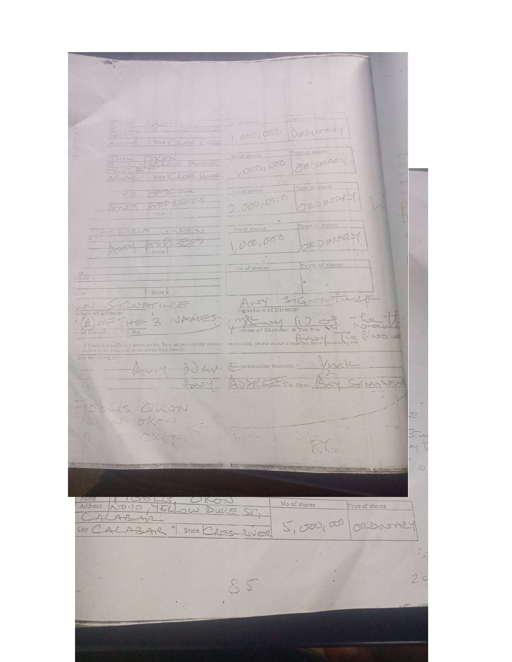$\frac{1}{2}$ 1,000,000 ORDINARY SERVI DURE OVE DIN AP. 1,000,000 State CROSS ROUGH Type of spares HAS AN ha of shires ORDINEARY  $2,000,0000$ AOD LES Type of shares No of shares FLICHA GAZEN AUDLES ORDINARY  $1,000,000$  $40 - 4$ Type of shares Ma of shares  $S$ tnie ANY SIGNATURE  $\frac{5}{\sqrt{2}}$ <br>  $\frac{1}{\sqrt{2}}$ <br>  $\frac{1}{\sqrt{2}}$ <br>  $\frac{1}{\sqrt{2}}$ <br>  $\frac{1}{\sqrt{2}}$ <br>  $\frac{1}{\sqrt{2}}$ STENATURE Hame of Director & 3 HE in required, please attach a separate form If there is transferent space on the form to previous the information<br>functor an required in the prescribed furnishing the fitting<br> $D^{\rm eff}$ Jurk Ary Address Generalitation Number. ASSA STEWARD DATE: Avey Selears LTUA  $2 - 3$ LLS OLLON E. oken つちごすり 示  $\label{eq:1} \mathcal{V}_{\mathbf{r},\mathbf{r}} = 0$ 8G Address NO.10, 16/00 DULE ST, No of shares Type of shares  $5,0000000$ ORIDINATION City CALABAR 9 STATE CROSS-RIVER  $2c$  $55$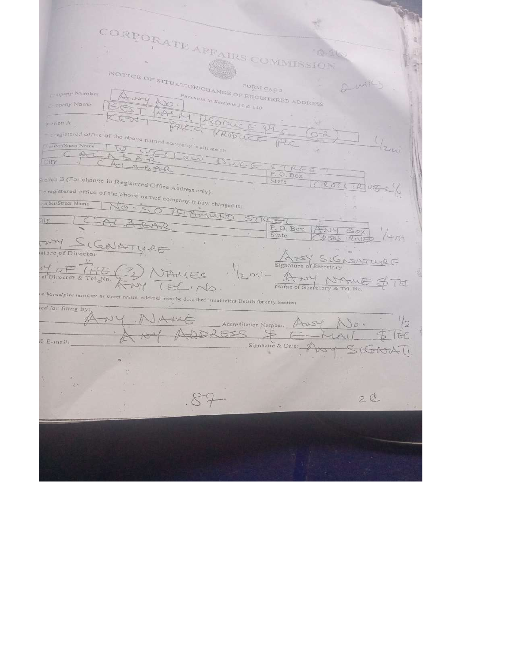CORPORATE AFFAIRS COMMISSION NOTICE OF SITUATION/CHANGE OF REGISTERED ADDRESS 2 mile any Number ny Name PALIN PRODUCE PLC **DAL**  $\circ$  ation A examples of the company of the above named company is situate at:  $(0.2)$  $2\pi i$ ABARCLOW DUKE CITY  $\begin{tabular}{|c|c|c|} \hline $\zeta$ & $\uparrow$ & $\mathbb{A}$ & $\zeta$ \\ \hline \hline P. O. Box \\ \hline State \\ \hline \end{tabular}$ ction B (For change in Registered Office Address only) e registered office of the above named company is now changed to:  $\mathcal{R}$   $v\sigma$  $50$ ATAMUNTO  $STICE ($ ity Box  $\mathbb{B}$ oy WN State NY SIGNATURE SIGNEATURE Signatur  $\frac{1}{\sqrt{\frac{1}{1-\epsilon}}}$ 3) NAMES Name of Scoretary & Tel. No.  $21L$  $70 -$ IEC No  $1E$ to house/plot number or street neave, address must be described in sufficient Details for easy location ed for filing by NV NARIE  $\frac{1}{2}$ **Accreditation Number** Ausy ADDRE EC & E-mail: Signature & Date: StGAW  $\frac{1}{2}$  $2C$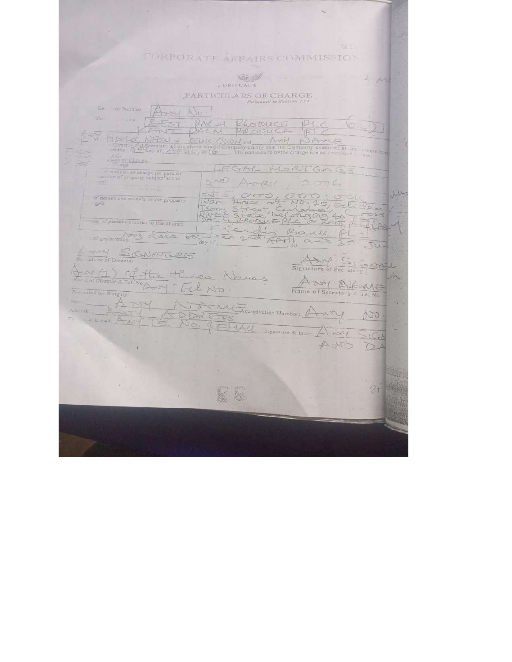# CORPORATE AFFAIRS COMMISSION

 $\bar{\gamma}$ 

 $\tilde{T}_c$ 

and the company's company's and

 $\sim$ 

|                                                                                  | JEORNI CA                                                                                                                                                                                                                                                                                                                   | $n-1$ |
|----------------------------------------------------------------------------------|-----------------------------------------------------------------------------------------------------------------------------------------------------------------------------------------------------------------------------------------------------------------------------------------------------------------------------|-------|
|                                                                                  | PARTICULARS OF CHARGE<br>Pursunnt to Section 197                                                                                                                                                                                                                                                                            |       |
| Col<br>105 Number<br>4504                                                        | No-                                                                                                                                                                                                                                                                                                                         |       |
| CG<br><b>GITTE</b>                                                               | RAC M<br>KRODUCE                                                                                                                                                                                                                                                                                                            |       |
| TELLS.<br>NFON<br>200                                                            | $A + 1$<br>) And<br>ETTLELK OKON and<br>Director and Secretary of the above named Company certify that the Company executed at the union term on the $2^{kN-2}$ day of $2^{kN-2}$ (Eq. 20) (20). The particulars of the charge are as described to low<br>2014, 2016 The particulars of the charge are as deteribed to over |       |
| stars of Charge<br>Circumpter.                                                   |                                                                                                                                                                                                                                                                                                                             |       |
| of creation of charge (or date of<br>isition of property subject to the<br>(222) | LEGAL<br>MORTGAGS<br>$2077 - 1211$<br>2076                                                                                                                                                                                                                                                                                  |       |
| of details and owners of the property                                            | $\sigma$ of                                                                                                                                                                                                                                                                                                                 |       |
| ාලුරේ                                                                            | $C\cap\Box$<br>bel<br>$5 - 25$<br>ALAGA 4                                                                                                                                                                                                                                                                                   | 520   |
| unes of persons entitled to the charge                                           | $C = P1$<br>1472                                                                                                                                                                                                                                                                                                            |       |
| or registration of ata                                                           | bet<br>4777<br>day of                                                                                                                                                                                                                                                                                                       | V     |
| SCHATLPG<br>Signature of Director                                                |                                                                                                                                                                                                                                                                                                                             |       |
| $C_{\perp} + C_{\perp}$                                                          | Signature of Sec etary<br>Les Abres                                                                                                                                                                                                                                                                                         |       |
| c of Director & Tel. No.<br>Presented for filing by:                             | E16<br>Tel No<br>Name of Secreta y & Tel. No.                                                                                                                                                                                                                                                                               |       |
| $85-$<br>WHY                                                                     |                                                                                                                                                                                                                                                                                                                             |       |
| 7 <sup>2</sup><br>- & E-mail:                                                    | SENGREES<br>225                                                                                                                                                                                                                                                                                                             | AJO.  |
|                                                                                  | ELLACL<br>Signature & Date:<br>$H - 1577$                                                                                                                                                                                                                                                                                   |       |
|                                                                                  | $A + I$                                                                                                                                                                                                                                                                                                                     |       |
|                                                                                  |                                                                                                                                                                                                                                                                                                                             |       |
|                                                                                  |                                                                                                                                                                                                                                                                                                                             |       |
|                                                                                  |                                                                                                                                                                                                                                                                                                                             |       |
|                                                                                  |                                                                                                                                                                                                                                                                                                                             |       |
|                                                                                  |                                                                                                                                                                                                                                                                                                                             |       |
|                                                                                  |                                                                                                                                                                                                                                                                                                                             |       |
|                                                                                  |                                                                                                                                                                                                                                                                                                                             |       |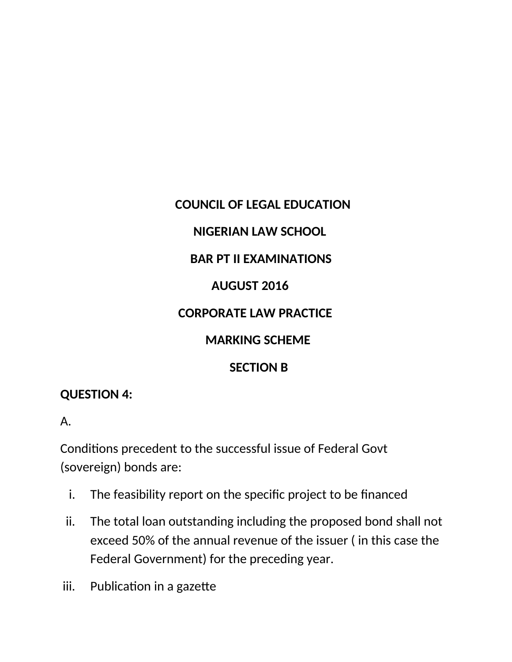# **COUNCIL OF LEGAL EDUCATION**

## **NIGERIAN LAW SCHOOL**

### **BAR PT II EXAMINATIONS**

### **AUGUST 2016**

### **CORPORATE LAW PRACTICE**

## **MARKING SCHEME**

### **SECTION B**

#### **QUESTION 4:**

#### A.

Conditons precedent to the successful issue of Federal Govt (sovereign) bonds are:

- i. The feasibility report on the specific project to be financed
- ii. The total loan outstanding including the proposed bond shall not exceed 50% of the annual revenue of the issuer ( in this case the Federal Government) for the preceding year.
- iii. Publication in a gazette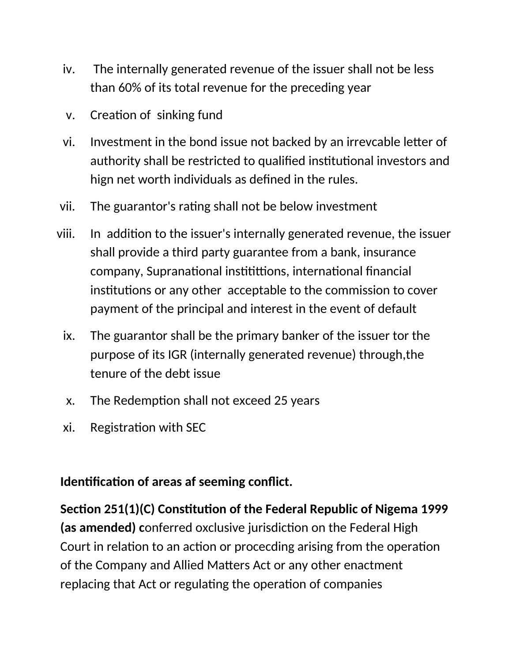- iv. The internally generated revenue of the issuer shall not be less than 60% of its total revenue for the preceding year
- v. Creation of sinking fund
- vi. Investment in the bond issue not backed by an irrevcable letter of authority shall be restricted to qualified institutional investors and hign net worth individuals as defned in the rules.
- vii. The guarantor's rating shall not be below investment
- viii. In additon to the issuer's internally generated revenue, the issuer shall provide a third party guarantee from a bank, insurance company, Supranational institittions, international financial institutions or any other acceptable to the commission to cover payment of the principal and interest in the event of default
	- ix. The guarantor shall be the primary banker of the issuer tor the purpose of its IGR (internally generated revenue) through,the tenure of the debt issue
	- x. The Redemption shall not exceed 25 years
	- xi. Registration with SEC

## **Identification of areas af seeming conflict.**

Section 251(1)(C) Constitution of the Federal Republic of Nigema 1999 (as amended) conferred oxclusive jurisdiction on the Federal High Court in relation to an action or procecding arising from the operation of the Company and Allied Maters Act or any other enactment replacing that Act or regulating the operation of companies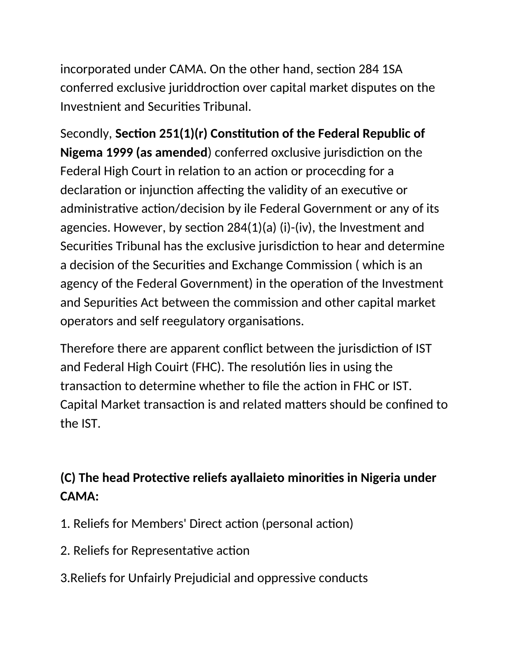incorporated under CAMA. On the other hand, section 284 1SA conferred exclusive juriddroction over capital market disputes on the Investnient and Securites Tribunal.

Secondly, **Secton 251(1)(r) Consttuton of the Federal Repullic of Nigema 1999 (as amended)** conferred oxclusive jurisdiction on the Federal High Court in relation to an action or procecding for a declaration or injunction affecting the validity of an executive or administrative action/decision by ile Federal Government or any of its agencies. However, by section  $284(1)(a)$  (i)-(iv), the Investment and Securities Tribunal has the exclusive jurisdiction to hear and determine a decision of the Securities and Exchange Commission (which is an agency of the Federal Government) in the operation of the Investment and Sepurites Act between the commission and other capital market operators and self reegulatory organisations.

Therefore there are apparent conflict between the jurisdiction of IST and Federal High Couirt (FHC). The resolution lies in using the transaction to determine whether to file the action in FHC or IST. Capital Market transaction is and related matters should be confined to the IST.

# **(C) The head Protectve reliefs ayallaieto minorites in Nigeria under CAMA:**

- 1. Reliefs for Members' Direct action (personal action)
- 2. Reliefs for Representative action
- 3.Reliefs for Unfairly Prejudicial and oppressive conducts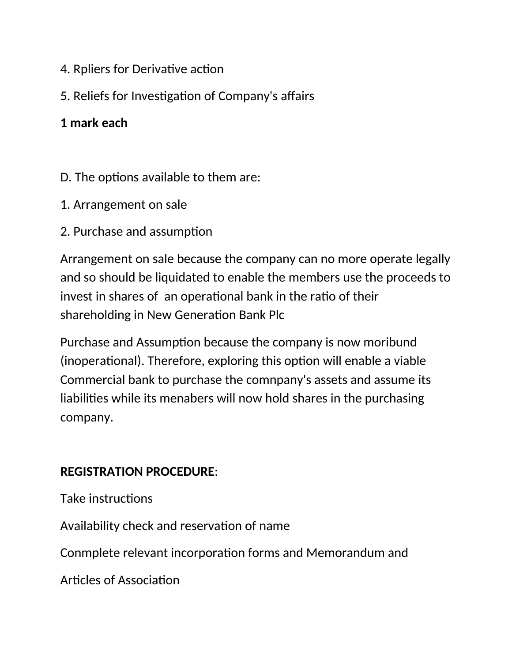- 4. Rpliers for Derivative action
- 5. Reliefs for Investigation of Company's affairs

## **1 mark each**

- D. The options available to them are:
- 1. Arrangement on sale
- 2. Purchase and assumption

Arrangement on sale because the company can no more operate legally and so should be liquidated to enable the members use the proceeds to invest in shares of an operational bank in the ratio of their shareholding in New Generation Bank Plc

Purchase and Assumption because the company is now moribund (inoperational). Therefore, exploring this option will enable a viable Commercial bank to purchase the comnpany's assets and assume its liabilites while its menabers will now hold shares in the purchasing company.

## **REGISTRATION PROCEDURE**:

Take instructions

Availability check and reservation of name

Conmplete relevant incorporation forms and Memorandum and

Articles of Association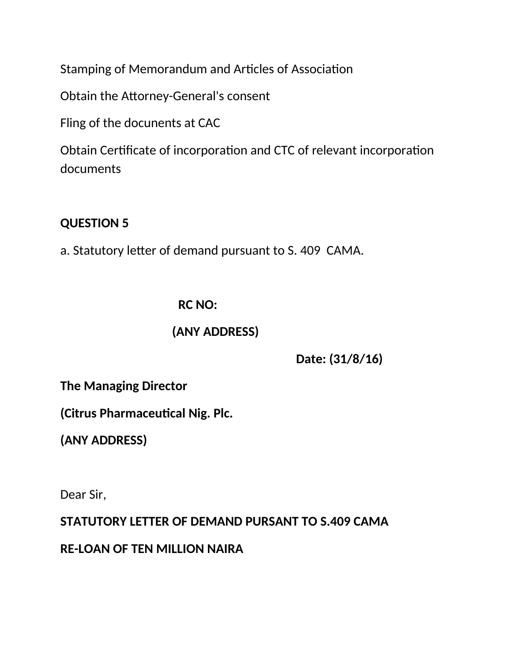Stamping of Memorandum and Articles of Association

Obtain the Attorney-General's consent

Fling of the docunents at CAC

Obtain Certificate of incorporation and CTC of relevant incorporation documents

### **QUESTION 5**

a. Statutory letter of demand pursuant to S. 409 CAMA.

### **RC NO:**

### **(ANY ADDRESS)**

 **Date: (31/8/16)**

**The Managing Director**

**(Citrus Pharmaceutical Nig. Plc.** 

**(ANY ADDRESS)**

Dear Sir,

**STATUTORY LETTER OF DEMAND PURSANT TO S.409 CAMA**

**RE-LOAN OF TEN MILLION NAIRA**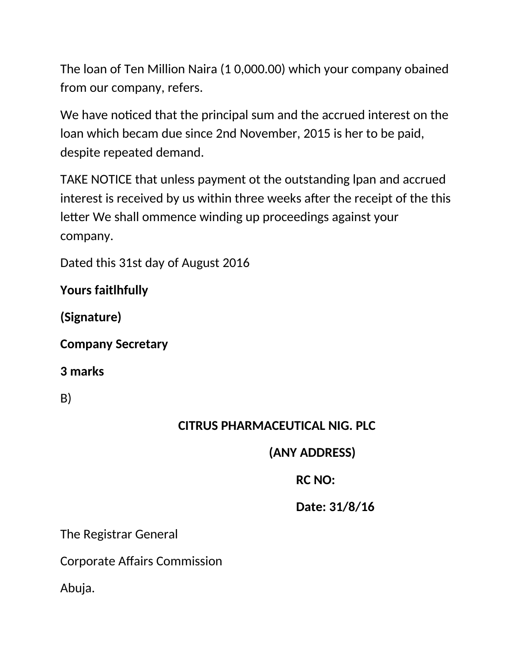The loan of Ten Million Naira (1 0,000.00) which your company obained from our company, refers.

We have noticed that the principal sum and the accrued interest on the loan which becam due since 2nd November, 2015 is her to be paid, despite repeated demand.

TAKE NOTICE that unless payment ot the outstanding lpan and accrued interest is received by us within three weeks after the receipt of the this letter We shall ommence winding up proceedings against your company.

Dated this 31st day of August 2016

**Yours faitlhfully**

**(Signature)**

**Company Secretary**

**3 marks**

B)

## **CITRUS PHARMACEUTICAL NIG. PLC**

## **(ANY ADDRESS)**

# **RC NO:**

## **Date: 31/8/16**

The Registrar General

Corporate Afairs Commission

Abuja.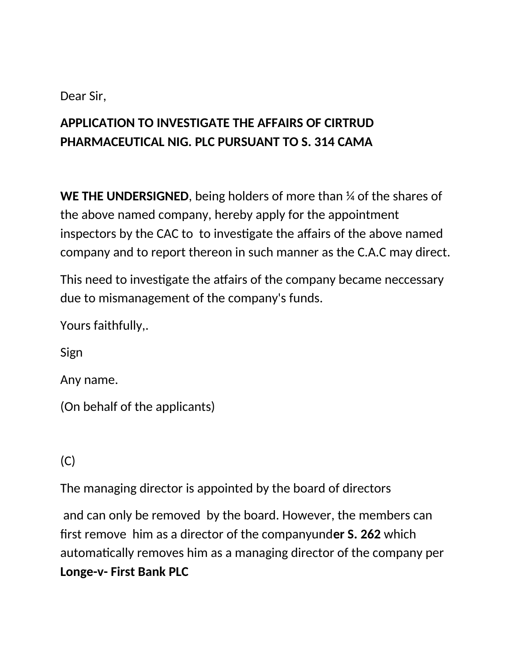### Dear Sir,

# **APPLICATION TO INVESTIGATE THE AFFAIRS OF CIRTRUD PHARMACEUTICAL NIG. PLC PURSUANT TO S. 314 CAMA**

**WE THE UNDERSIGNED**, being holders of more than ¼ of the shares of the above named company, hereby apply for the appointment inspectors by the CAC to to investigate the affairs of the above named company and to report thereon in such manner as the C.A.C may direct.

This need to investigate the atfairs of the company became neccessary due to mismanagement of the company's funds.

Yours faithfully,.

Sign

Any name.

(On behalf of the applicants)

(C)

The managing director is appointed by the board of directors

and can only be removed by the board. However, the members can frst remove him as a director of the companyund**er S. 262** which automatically removes him as a managing director of the company per **Longe-v- First Bank PLC**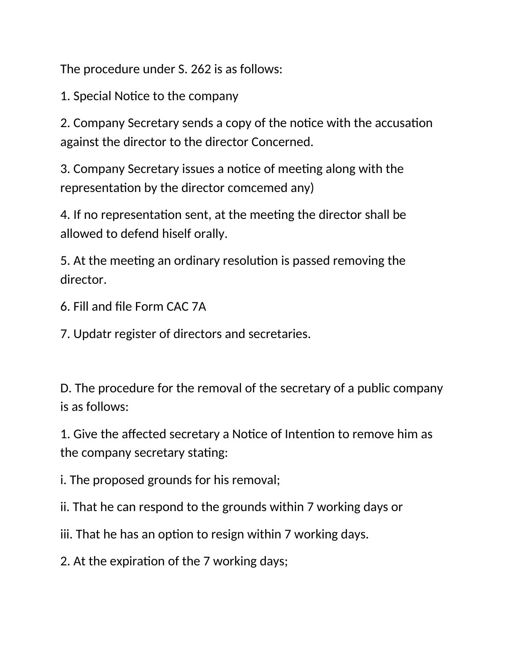The procedure under S. 262 is as follows:

1. Special Notice to the company

2. Company Secretary sends a copy of the notice with the accusation against the director to the director Concerned.

3. Company Secretary issues a notice of meeting along with the representation by the director comcemed any)

4. If no representation sent, at the meeting the director shall be allowed to defend hiself orally.

5. At the meeting an ordinary resolution is passed removing the director.

6. Fill and fle Form CAC 7A

7. Updatr register of directors and secretaries.

D. The procedure for the removal of the secretary of a public company is as follows:

1. Give the affected secretary a Notice of Intention to remove him as the company secretary stating:

i. The proposed grounds for his removal;

ii. That he can respond to the grounds within 7 working days or

iii. That he has an option to resign within 7 working days.

2. At the expiration of the 7 working days;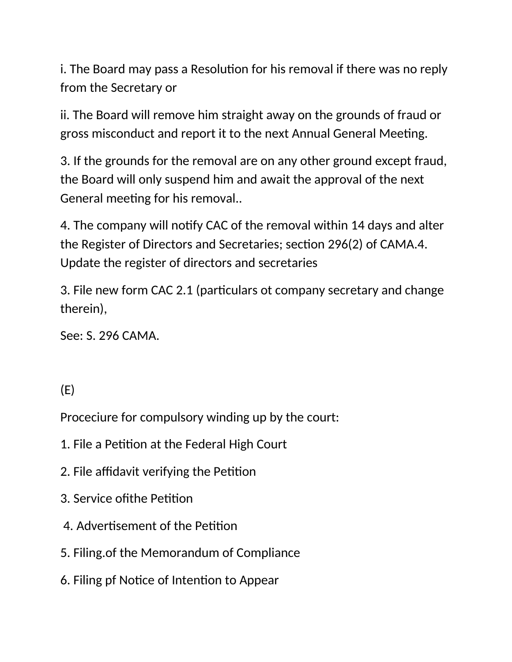i. The Board may pass a Resolution for his removal if there was no reply from the Secretary or

ii. The Board will remove him straight away on the grounds of fraud or gross misconduct and report it to the next Annual General Meeting.

3. If the grounds for the removal are on any other ground except fraud, the Board will only suspend him and await the approval of the next General meeting for his removal..

4. The company will notfy CAC of the removal within 14 days and alter the Register of Directors and Secretaries; section 296(2) of CAMA.4. Update the register of directors and secretaries

3. File new form CAC 2.1 (particulars ot company secretary and change therein),

See: S. 296 CAMA.

# (E)

Proceciure for compulsory winding up by the court:

- 1. File a Petition at the Federal High Court
- 2. File affidavit verifying the Petition
- 3. Service of the Petition
- 4. Advertisement of the Petition
- 5. Filing.of the Memorandum of Compliance
- 6. Filing pf Notice of Intention to Appear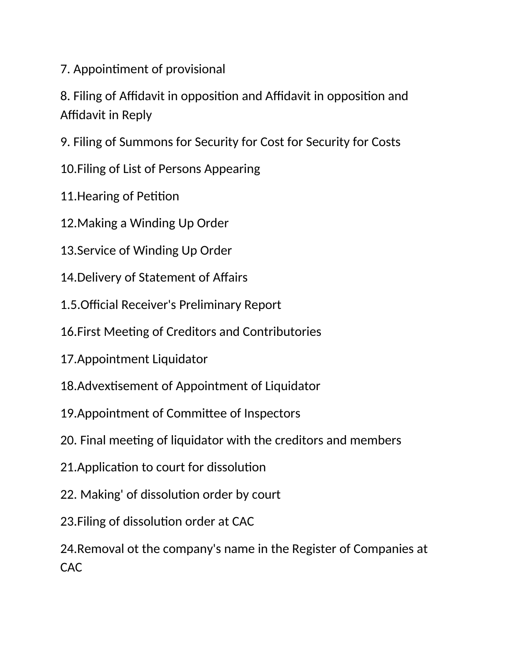7. Appointment of provisional

8. Filing of Affidavit in opposition and Affidavit in opposition and Affidavit in Reply

9. Filing of Summons for Security for Cost for Security for Costs

10.Filing of List of Persons Appearing

11. Hearing of Petition

12.Making a Winding Up Order

13.Service of Winding Up Order

14. Delivery of Statement of Affairs

1.5. Official Receiver's Preliminary Report

16. First Meeting of Creditors and Contributories

17.Appointment Liquidator

18. Advextisement of Appointment of Liquidator

19.Appointment of Commitee of Inspectors

20. Final meeting of liquidator with the creditors and members

21. Application to court for dissolution

22. Making' of dissolution order by court

23. Filing of dissolution order at CAC

24.Removal ot the company's name in the Register of Companies at CAC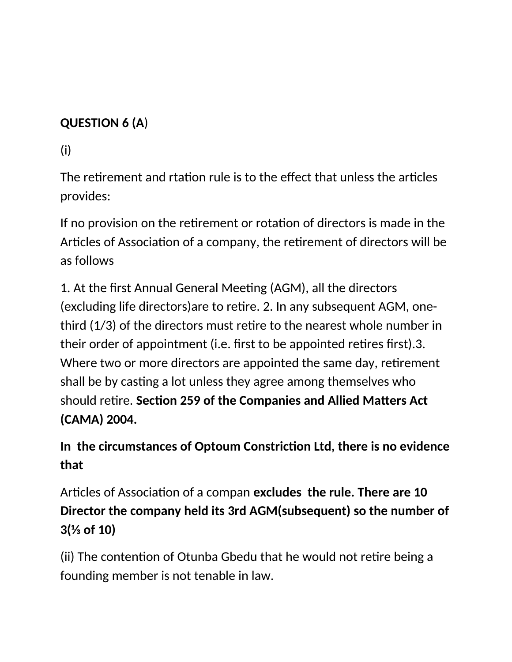# **QUESTION 6 (A**)

(i)

The retirement and rtation rule is to the effect that unless the articles provides:

If no provision on the retirement or rotation of directors is made in the Articles of Association of a company, the retirement of directors will be as follows

1. At the first Annual General Meeting (AGM), all the directors (excluding life directors)are to retre. 2. In any subsequent AGM, onethird (1/3) of the directors must retre to the nearest whole number in their order of appointment (i.e. frst to be appointed retres frst).3. Where two or more directors are appointed the same day, retirement shall be by casting a lot unless they agree among themselves who should retre. **Secton 259 of the Companies and Allied Matters Act (CAMA) 2004.**

**In the circumstances of Optoum Constricton Ltd, there is no evidence that** 

Articles of Association of a compan **excludes the rule. There are 10 Director the company held its 3rd AGM(sulsequent) so the numler of 3(⅓ of 10)**

(ii) The contention of Otunba Gbedu that he would not retire being a founding member is not tenable in law.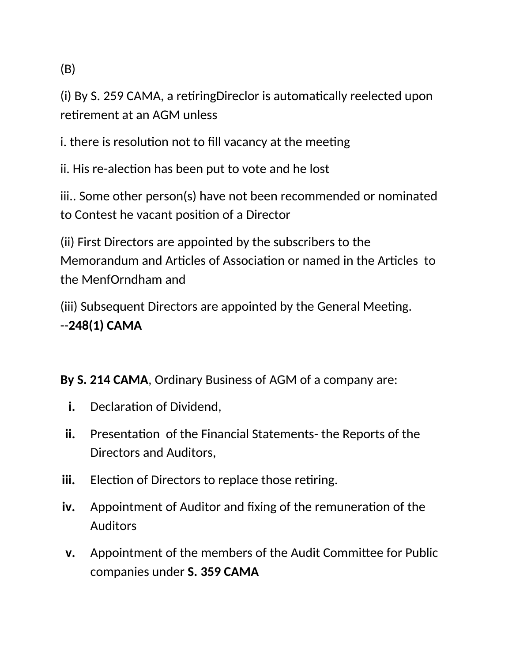(B)

(i) By S. 259 CAMA, a retiring Direclor is automatically reelected upon retrement at an AGM unless

i. there is resolution not to fill vacancy at the meeting

ii. His re-alection has been put to vote and he lost

iii.. Some other person(s) have not been recommended or nominated to Contest he vacant positon of a Director

(ii) First Directors are appointed by the subscribers to the Memorandum and Articles of Association or named in the Articles to the MenfOrndham and

(iii) Subsequent Directors are appointed by the General Meeting. --**248(1) CAMA**

### **By S. 214 CAMA**, Ordinary Business of AGM of a company are:

- **i.** Declaration of Dividend,
- ii. Presentation of the Financial Statements- the Reports of the Directors and Auditors,
- iii. Election of Directors to replace those retiring.
- **iv.** Appointment of Auditor and fixing of the remuneration of the Auditors
- **v.** Appointment of the members of the Audit Commitee for Public companies under **S. 359 CAMA**